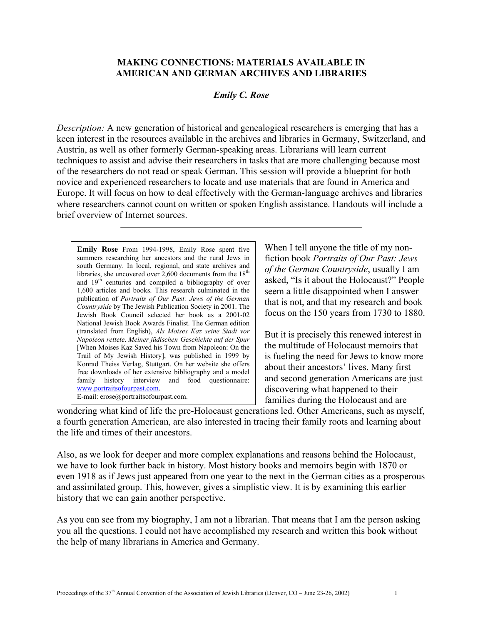## **MAKING CONNECTIONS: MATERIALS AVAILABLE IN AMERICAN AND GERMAN ARCHIVES AND LIBRARIES**

## *Emily C. Rose*

*Description:* A new generation of historical and genealogical researchers is emerging that has a keen interest in the resources available in the archives and libraries in Germany, Switzerland, and Austria, as well as other formerly German-speaking areas. Librarians will learn current techniques to assist and advise their researchers in tasks that are more challenging because most of the researchers do not read or speak German. This session will provide a blueprint for both novice and experienced researchers to locate and use materials that are found in America and Europe. It will focus on how to deal effectively with the German-language archives and libraries where researchers cannot count on written or spoken English assistance. Handouts will include a brief overview of Internet sources.

**Emily Rose** From 1994-1998, Emily Rose spent five summers researching her ancestors and the rural Jews in south Germany. In local, regional, and state archives and libraries, she uncovered over  $2,600$  documents from the  $18<sup>th</sup>$ and 19th centuries and compiled a bibliography of over 1,600 articles and books. This research culminated in the publication of *Portraits of Our Past: Jews of the German Countryside* by The Jewish Publication Society in 2001. The Jewish Book Council selected her book as a 2001-02 National Jewish Book Awards Finalist. The German edition (translated from English), *Als Moises Kaz seine Stadt vor Napoleon rettete*. *Meiner jüdischen Geschichte auf der Spur* [When Moises Kaz Saved his Town from Napoleon: On the Trail of My Jewish History], was published in 1999 by Konrad Theiss Verlag, Stuttgart. On her website she offers free downloads of her extensive bibliography and a model family history interview and food questionnaire: [www.portraitsofourpast.com](http://www.portraitsofourpast.com/). E-mail: erose@portraitsofourpast.com.

When I tell anyone the title of my nonfiction book *Portraits of Our Past: Jews of the German Countryside*, usually I am asked, "Is it about the Holocaust?" People seem a little disappointed when I answer that is not, and that my research and book focus on the 150 years from 1730 to 1880.

But it is precisely this renewed interest in the multitude of Holocaust memoirs that is fueling the need for Jews to know more about their ancestors' lives. Many first and second generation Americans are just discovering what happened to their families during the Holocaust and are

wondering what kind of life the pre-Holocaust generations led. Other Americans, such as myself, a fourth generation American, are also interested in tracing their family roots and learning about the life and times of their ancestors.

Also, as we look for deeper and more complex explanations and reasons behind the Holocaust, we have to look further back in history. Most history books and memoirs begin with 1870 or even 1918 as if Jews just appeared from one year to the next in the German cities as a prosperous and assimilated group. This, however, gives a simplistic view. It is by examining this earlier history that we can gain another perspective.

As you can see from my biography, I am not a librarian. That means that I am the person asking you all the questions. I could not have accomplished my research and written this book without the help of many librarians in America and Germany.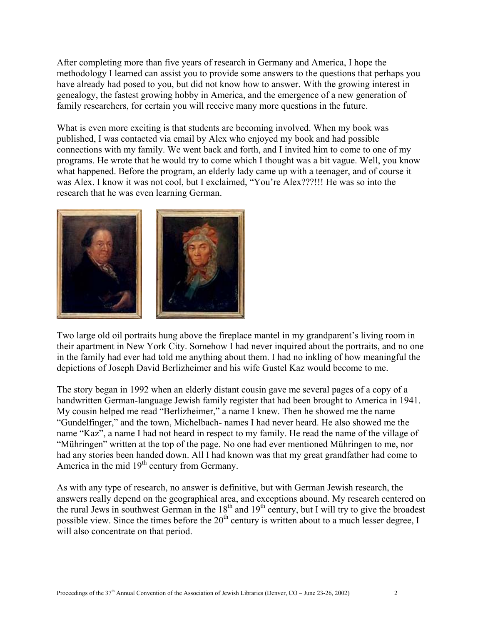After completing more than five years of research in Germany and America, I hope the methodology I learned can assist you to provide some answers to the questions that perhaps you have already had posed to you, but did not know how to answer. With the growing interest in genealogy, the fastest growing hobby in America, and the emergence of a new generation of family researchers, for certain you will receive many more questions in the future.

What is even more exciting is that students are becoming involved. When my book was published, I was contacted via email by Alex who enjoyed my book and had possible connections with my family. We went back and forth, and I invited him to come to one of my programs. He wrote that he would try to come which I thought was a bit vague. Well, you know what happened. Before the program, an elderly lady came up with a teenager, and of course it was Alex. I know it was not cool, but I exclaimed, "You're Alex???!!! He was so into the research that he was even learning German.



Two large old oil portraits hung above the fireplace mantel in my grandparent's living room in their apartment in New York City. Somehow I had never inquired about the portraits, and no one in the family had ever had told me anything about them. I had no inkling of how meaningful the depictions of Joseph David Berlizheimer and his wife Gustel Kaz would become to me.

The story began in 1992 when an elderly distant cousin gave me several pages of a copy of a handwritten German-language Jewish family register that had been brought to America in 1941. My cousin helped me read "Berlizheimer," a name I knew. Then he showed me the name "Gundelfinger," and the town, Michelbach- names I had never heard. He also showed me the name "Kaz", a name I had not heard in respect to my family. He read the name of the village of "Mühringen" written at the top of the page. No one had ever mentioned Mühringen to me, nor had any stories been handed down. All I had known was that my great grandfather had come to America in the mid 19<sup>th</sup> century from Germany.

As with any type of research, no answer is definitive, but with German Jewish research, the answers really depend on the geographical area, and exceptions abound. My research centered on the rural Jews in southwest German in the  $18<sup>th</sup>$  and  $19<sup>th</sup>$  century, but I will try to give the broadest possible view. Since the times before the  $20<sup>th</sup>$  century is written about to a much lesser degree, I will also concentrate on that period.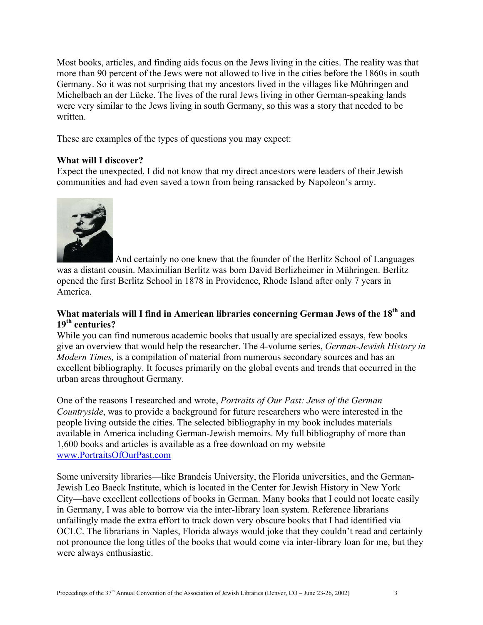Most books, articles, and finding aids focus on the Jews living in the cities. The reality was that more than 90 percent of the Jews were not allowed to live in the cities before the 1860s in south Germany. So it was not surprising that my ancestors lived in the villages like Mühringen and Michelbach an der Lücke. The lives of the rural Jews living in other German-speaking lands were very similar to the Jews living in south Germany, so this was a story that needed to be written.

These are examples of the types of questions you may expect:

## **What will I discover?**

Expect the unexpected. I did not know that my direct ancestors were leaders of their Jewish communities and had even saved a town from being ransacked by Napoleon's army.



 And certainly no one knew that the founder of the Berlitz School of Languages was a distant cousin. Maximilian Berlitz was born David Berlizheimer in Mühringen. Berlitz opened the first Berlitz School in 1878 in Providence, Rhode Island after only 7 years in America.

# What materials will I find in American libraries concerning German Jews of the 18<sup>th</sup> and **19th centuries?**

While you can find numerous academic books that usually are specialized essays, few books give an overview that would help the researcher. The 4-volume series, *German-Jewish History in Modern Times,* is a compilation of material from numerous secondary sources and has an excellent bibliography. It focuses primarily on the global events and trends that occurred in the urban areas throughout Germany.

One of the reasons I researched and wrote, *Portraits of Our Past: Jews of the German Countryside*, was to provide a background for future researchers who were interested in the people living outside the cities. The selected bibliography in my book includes materials available in America including German-Jewish memoirs. My full bibliography of more than 1,600 books and articles is available as a free download on my website [www.PortraitsOfOurPast.com](http://www.portraitsofourpast.com/)

Some university libraries—like Brandeis University, the Florida universities, and the German-Jewish Leo Baeck Institute, which is located in the Center for Jewish History in New York City—have excellent collections of books in German. Many books that I could not locate easily in Germany, I was able to borrow via the inter-library loan system. Reference librarians unfailingly made the extra effort to track down very obscure books that I had identified via OCLC. The librarians in Naples, Florida always would joke that they couldn't read and certainly not pronounce the long titles of the books that would come via inter-library loan for me, but they were always enthusiastic.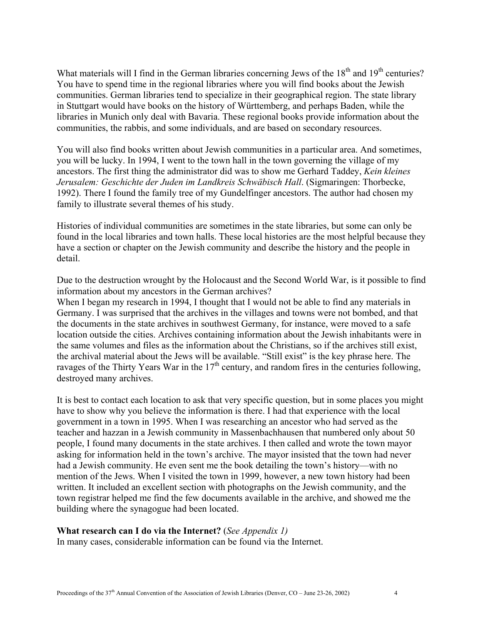What materials will I find in the German libraries concerning Jews of the 18<sup>th</sup> and 19<sup>th</sup> centuries? You have to spend time in the regional libraries where you will find books about the Jewish communities. German libraries tend to specialize in their geographical region. The state library in Stuttgart would have books on the history of Württemberg, and perhaps Baden, while the libraries in Munich only deal with Bavaria. These regional books provide information about the communities, the rabbis, and some individuals, and are based on secondary resources.

You will also find books written about Jewish communities in a particular area. And sometimes, you will be lucky. In 1994, I went to the town hall in the town governing the village of my ancestors. The first thing the administrator did was to show me Gerhard Taddey, *Kein kleines Jerusalem: Geschichte der Juden im Landkreis Schwäbisch Hall*. (Sigmaringen: Thorbecke, 1992). There I found the family tree of my Gundelfinger ancestors. The author had chosen my family to illustrate several themes of his study.

Histories of individual communities are sometimes in the state libraries, but some can only be found in the local libraries and town halls. These local histories are the most helpful because they have a section or chapter on the Jewish community and describe the history and the people in detail.

Due to the destruction wrought by the Holocaust and the Second World War, is it possible to find information about my ancestors in the German archives?

When I began my research in 1994, I thought that I would not be able to find any materials in Germany. I was surprised that the archives in the villages and towns were not bombed, and that the documents in the state archives in southwest Germany, for instance, were moved to a safe location outside the cities. Archives containing information about the Jewish inhabitants were in the same volumes and files as the information about the Christians, so if the archives still exist, the archival material about the Jews will be available. "Still exist" is the key phrase here. The ravages of the Thirty Years War in the  $17<sup>th</sup>$  century, and random fires in the centuries following, destroyed many archives.

It is best to contact each location to ask that very specific question, but in some places you might have to show why you believe the information is there. I had that experience with the local government in a town in 1995. When I was researching an ancestor who had served as the teacher and hazzan in a Jewish community in Massenbachhausen that numbered only about 50 people, I found many documents in the state archives. I then called and wrote the town mayor asking for information held in the town's archive. The mayor insisted that the town had never had a Jewish community. He even sent me the book detailing the town's history—with no mention of the Jews. When I visited the town in 1999, however, a new town history had been written. It included an excellent section with photographs on the Jewish community, and the town registrar helped me find the few documents available in the archive, and showed me the building where the synagogue had been located.

#### **What research can I do via the Internet?** (*See Appendix 1)*

In many cases, considerable information can be found via the Internet.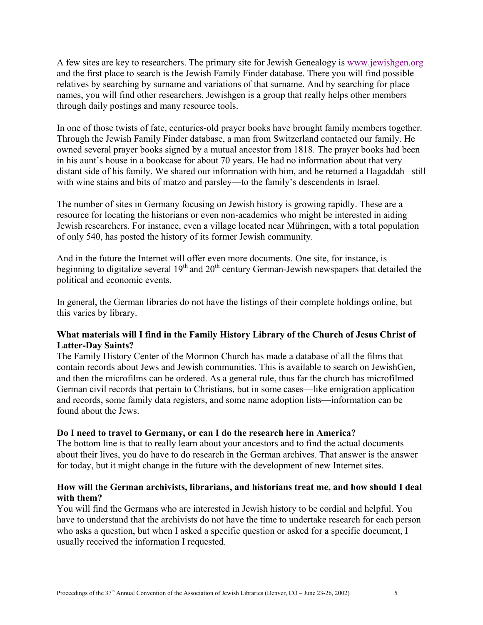A few sites are key to researchers. The primary site for Jewish Genealogy is www.jewishgen.org and the first place to search is the Jewish Family Finder database. There you will find possible relatives by searching by surname and variations of that surname. And by searching for place names, you will find other researchers. Jewishgen is a group that really helps other members through daily postings and many resource tools.

In one of those twists of fate, centuries-old prayer books have brought family members together. Through the Jewish Family Finder database, a man from Switzerland contacted our family. He owned several prayer books signed by a mutual ancestor from 1818. The prayer books had been in his aunt's house in a bookcase for about 70 years. He had no information about that very distant side of his family. We shared our information with him, and he returned a Hagaddah –still with wine stains and bits of matzo and parsley—to the family's descendents in Israel.

The number of sites in Germany focusing on Jewish history is growing rapidly. These are a resource for locating the historians or even non-academics who might be interested in aiding Jewish researchers. For instance, even a village located near Mühringen, with a total population of only 540, has posted the history of its former Jewish community.

And in the future the Internet will offer even more documents. One site, for instance, is beginning to digitalize several  $19<sup>th</sup>$  and  $20<sup>th</sup>$  century German-Jewish newspapers that detailed the political and economic events.

In general, the German libraries do not have the listings of their complete holdings online, but this varies by library.

# **What materials will I find in the Family History Library of the Church of Jesus Christ of Latter-Day Saints?**

The Family History Center of the Mormon Church has made a database of all the films that contain records about Jews and Jewish communities. This is available to search on JewishGen, and then the microfilms can be ordered. As a general rule, thus far the church has microfilmed German civil records that pertain to Christians, but in some cases—like emigration application and records, some family data registers, and some name adoption lists—information can be found about the Jews.

# **Do I need to travel to Germany, or can I do the research here in America?**

The bottom line is that to really learn about your ancestors and to find the actual documents about their lives, you do have to do research in the German archives. That answer is the answer for today, but it might change in the future with the development of new Internet sites.

# **How will the German archivists, librarians, and historians treat me, and how should I deal with them?**

You will find the Germans who are interested in Jewish history to be cordial and helpful. You have to understand that the archivists do not have the time to undertake research for each person who asks a question, but when I asked a specific question or asked for a specific document. I usually received the information I requested.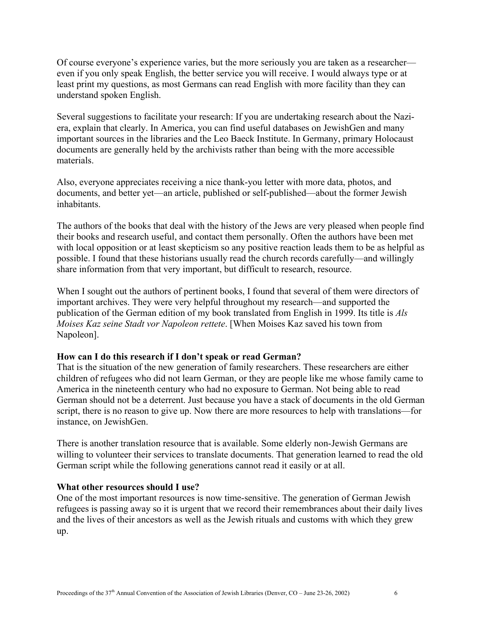Of course everyone's experience varies, but the more seriously you are taken as a researcher even if you only speak English, the better service you will receive. I would always type or at least print my questions, as most Germans can read English with more facility than they can understand spoken English.

Several suggestions to facilitate your research: If you are undertaking research about the Naziera, explain that clearly. In America, you can find useful databases on JewishGen and many important sources in the libraries and the Leo Baeck Institute. In Germany, primary Holocaust documents are generally held by the archivists rather than being with the more accessible materials.

Also, everyone appreciates receiving a nice thank-you letter with more data, photos, and documents, and better yet—an article, published or self-published—about the former Jewish inhabitants.

The authors of the books that deal with the history of the Jews are very pleased when people find their books and research useful, and contact them personally. Often the authors have been met with local opposition or at least skepticism so any positive reaction leads them to be as helpful as possible. I found that these historians usually read the church records carefully—and willingly share information from that very important, but difficult to research, resource.

When I sought out the authors of pertinent books, I found that several of them were directors of important archives. They were very helpful throughout my research—and supported the publication of the German edition of my book translated from English in 1999. Its title is *Als Moises Kaz seine Stadt vor Napoleon rettete*. [When Moises Kaz saved his town from Napoleon].

# **How can I do this research if I don't speak or read German?**

That is the situation of the new generation of family researchers. These researchers are either children of refugees who did not learn German, or they are people like me whose family came to America in the nineteenth century who had no exposure to German. Not being able to read German should not be a deterrent. Just because you have a stack of documents in the old German script, there is no reason to give up. Now there are more resources to help with translations—for instance, on JewishGen.

There is another translation resource that is available. Some elderly non-Jewish Germans are willing to volunteer their services to translate documents. That generation learned to read the old German script while the following generations cannot read it easily or at all.

#### **What other resources should I use?**

One of the most important resources is now time-sensitive. The generation of German Jewish refugees is passing away so it is urgent that we record their remembrances about their daily lives and the lives of their ancestors as well as the Jewish rituals and customs with which they grew up.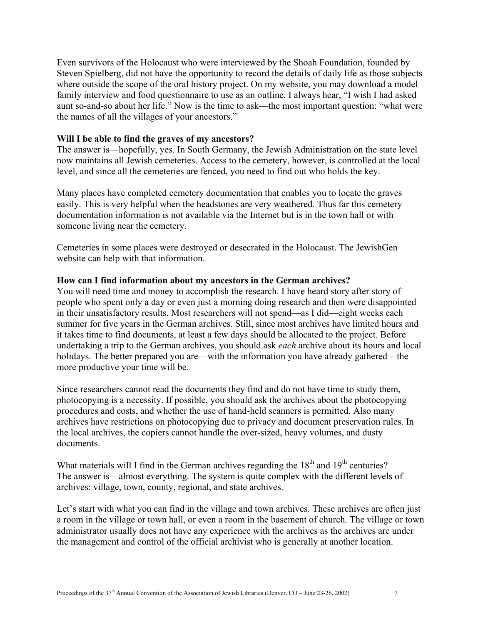Even survivors of the Holocaust who were interviewed by the Shoah Foundation, founded by Steven Spielberg, did not have the opportunity to record the details of daily life as those subjects where outside the scope of the oral history project. On my website, you may download a model family interview and food questionnaire to use as an outline. I always hear, "I wish I had asked aunt so-and-so about her life." Now is the time to ask—the most important question: "what were the names of all the villages of your ancestors."

## **Will I be able to find the graves of my ancestors?**

The answer is—hopefully, yes. In South Germany, the Jewish Administration on the state level now maintains all Jewish cemeteries. Access to the cemetery, however, is controlled at the local level, and since all the cemeteries are fenced, you need to find out who holds the key.

Many places have completed cemetery documentation that enables you to locate the graves easily. This is very helpful when the headstones are very weathered. Thus far this cemetery documentation information is not available via the Internet but is in the town hall or with someone living near the cemetery.

Cemeteries in some places were destroyed or desecrated in the Holocaust. The JewishGen website can help with that information.

#### **How can I find information about my ancestors in the German archives?**

You will need time and money to accomplish the research. I have heard story after story of people who spent only a day or even just a morning doing research and then were disappointed in their unsatisfactory results. Most researchers will not spend—as I did—eight weeks each summer for five years in the German archives. Still, since most archives have limited hours and it takes time to find documents, at least a few days should be allocated to the project. Before undertaking a trip to the German archives, you should ask *each* archive about its hours and local holidays. The better prepared you are—with the information you have already gathered—the more productive your time will be.

Since researchers cannot read the documents they find and do not have time to study them, photocopying is a necessity. If possible, you should ask the archives about the photocopying procedures and costs, and whether the use of hand-held scanners is permitted. Also many archives have restrictions on photocopying due to privacy and document preservation rules. In the local archives, the copiers cannot handle the over-sized, heavy volumes, and dusty documents.

What materials will I find in the German archives regarding the  $18<sup>th</sup>$  and  $19<sup>th</sup>$  centuries? The answer is—almost everything. The system is quite complex with the different levels of archives: village, town, county, regional, and state archives.

Let's start with what you can find in the village and town archives. These archives are often just a room in the village or town hall, or even a room in the basement of church. The village or town administrator usually does not have any experience with the archives as the archives are under the management and control of the official archivist who is generally at another location.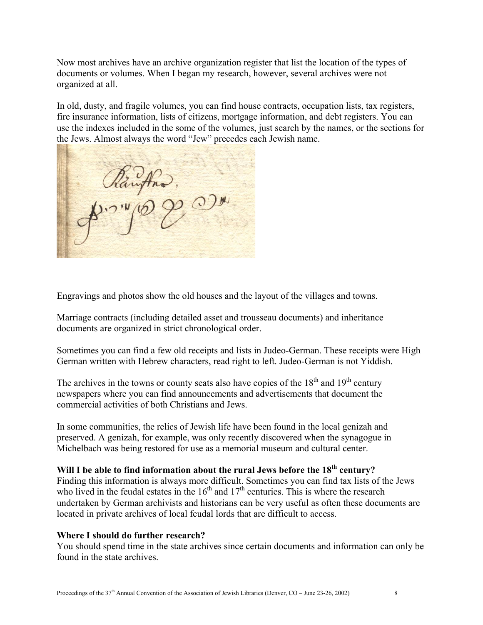Now most archives have an archive organization register that list the location of the types of documents or volumes. When I began my research, however, several archives were not organized at all.

In old, dusty, and fragile volumes, you can find house contracts, occupation lists, tax registers, fire insurance information, lists of citizens, mortgage information, and debt registers. You can use the indexes included in the some of the volumes, just search by the names, or the sections for the Jews. Almost always the word "Jew" precedes each Jewish name.

Engravings and photos show the old houses and the layout of the villages and towns.

Marriage contracts (including detailed asset and trousseau documents) and inheritance documents are organized in strict chronological order.

Sometimes you can find a few old receipts and lists in Judeo-German. These receipts were High German written with Hebrew characters, read right to left. Judeo-German is not Yiddish.

The archives in the towns or county seats also have copies of the  $18<sup>th</sup>$  and  $19<sup>th</sup>$  century newspapers where you can find announcements and advertisements that document the commercial activities of both Christians and Jews.

In some communities, the relics of Jewish life have been found in the local genizah and preserved. A genizah, for example, was only recently discovered when the synagogue in Michelbach was being restored for use as a memorial museum and cultural center.

# Will I be able to find information about the rural Jews before the 18<sup>th</sup> century?

Finding this information is always more difficult. Sometimes you can find tax lists of the Jews who lived in the feudal estates in the  $16<sup>th</sup>$  and  $17<sup>th</sup>$  centuries. This is where the research undertaken by German archivists and historians can be very useful as often these documents are located in private archives of local feudal lords that are difficult to access.

# **Where I should do further research?**

You should spend time in the state archives since certain documents and information can only be found in the state archives.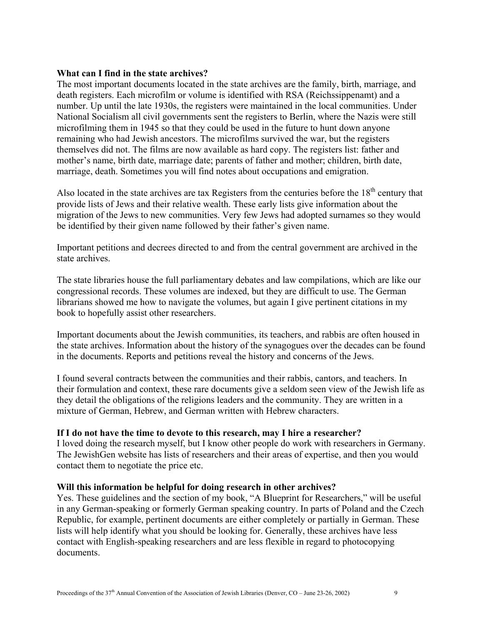## **What can I find in the state archives?**

The most important documents located in the state archives are the family, birth, marriage, and death registers. Each microfilm or volume is identified with RSA (Reichssippenamt) and a number. Up until the late 1930s, the registers were maintained in the local communities. Under National Socialism all civil governments sent the registers to Berlin, where the Nazis were still microfilming them in 1945 so that they could be used in the future to hunt down anyone remaining who had Jewish ancestors. The microfilms survived the war, but the registers themselves did not. The films are now available as hard copy. The registers list: father and mother's name, birth date, marriage date; parents of father and mother; children, birth date, marriage, death. Sometimes you will find notes about occupations and emigration.

Also located in the state archives are tax Registers from the centuries before the  $18<sup>th</sup>$  century that provide lists of Jews and their relative wealth. These early lists give information about the migration of the Jews to new communities. Very few Jews had adopted surnames so they would be identified by their given name followed by their father's given name.

Important petitions and decrees directed to and from the central government are archived in the state archives.

The state libraries house the full parliamentary debates and law compilations, which are like our congressional records. These volumes are indexed, but they are difficult to use. The German librarians showed me how to navigate the volumes, but again I give pertinent citations in my book to hopefully assist other researchers.

Important documents about the Jewish communities, its teachers, and rabbis are often housed in the state archives. Information about the history of the synagogues over the decades can be found in the documents. Reports and petitions reveal the history and concerns of the Jews.

I found several contracts between the communities and their rabbis, cantors, and teachers. In their formulation and context, these rare documents give a seldom seen view of the Jewish life as they detail the obligations of the religions leaders and the community. They are written in a mixture of German, Hebrew, and German written with Hebrew characters.

# **If I do not have the time to devote to this research, may I hire a researcher?**

I loved doing the research myself, but I know other people do work with researchers in Germany. The JewishGen website has lists of researchers and their areas of expertise, and then you would contact them to negotiate the price etc.

# **Will this information be helpful for doing research in other archives?**

Yes. These guidelines and the section of my book, "A Blueprint for Researchers," will be useful in any German-speaking or formerly German speaking country. In parts of Poland and the Czech Republic, for example, pertinent documents are either completely or partially in German. These lists will help identify what you should be looking for. Generally, these archives have less contact with English-speaking researchers and are less flexible in regard to photocopying documents.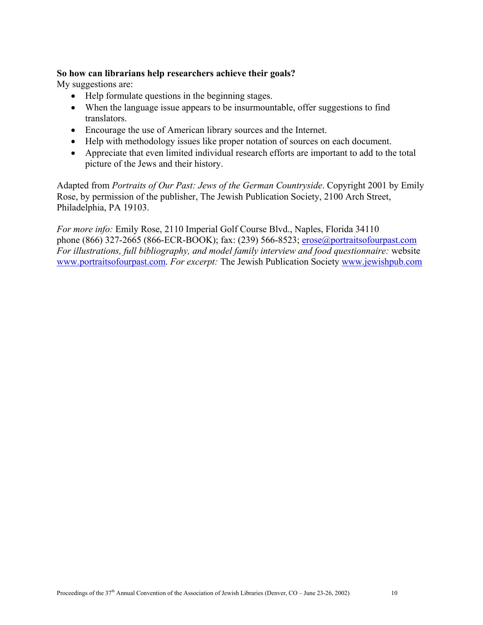# **So how can librarians help researchers achieve their goals?**

My suggestions are:

- Help formulate questions in the beginning stages.
- When the language issue appears to be insurmountable, offer suggestions to find translators.
- Encourage the use of American library sources and the Internet.
- Help with methodology issues like proper notation of sources on each document.
- Appreciate that even limited individual research efforts are important to add to the total picture of the Jews and their history.

Adapted from *Portraits of Our Past: Jews of the German Countryside*. Copyright 2001 by Emily Rose, by permission of the publisher, The Jewish Publication Society, 2100 Arch Street, Philadelphia, PA 19103.

*For more info:* Emily Rose, 2110 Imperial Golf Course Blvd., Naples, Florida 34110 phone (866) 327-2665 (866-ECR-BOOK); fax: (239) 566-8523; [erose@portraitsofourpast.com](mailto:erose@portraitsofourpast.com) *For illustrations, full bibliography, and model family interview and food questionnaire:* website [www.portraitsofourpast.com.](http://www.portraitsofourpast.com/) *For excerpt:* The Jewish Publication Society [www.jewishpub.com](http://www.jewishpub.com/)